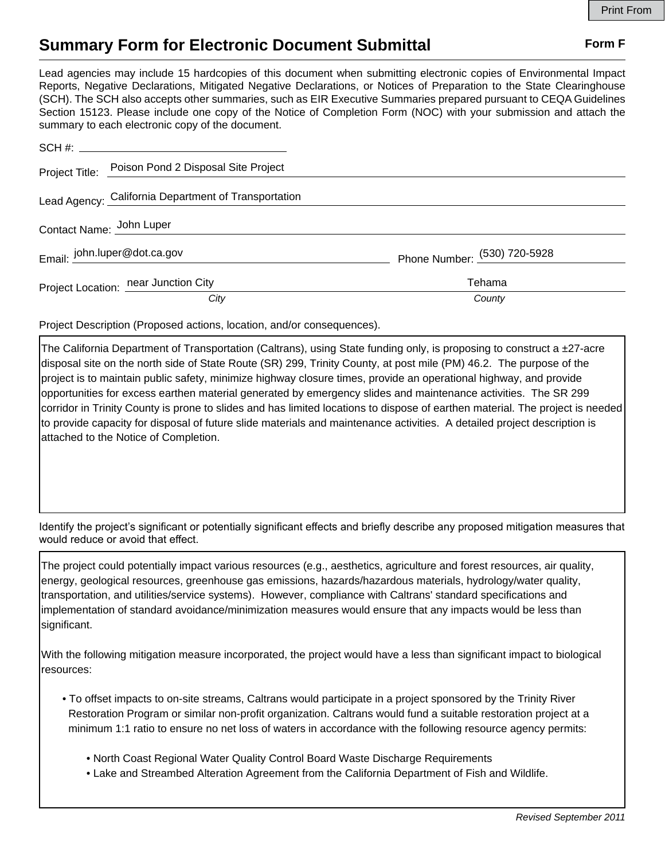## **Summary Form for Electronic Document Submittal Form F Form F**

Lead agencies may include 15 hardcopies of this document when submitting electronic copies of Environmental Impact Reports, Negative Declarations, Mitigated Negative Declarations, or Notices of Preparation to the State Clearinghouse (SCH). The SCH also accepts other summaries, such as EIR Executive Summaries prepared pursuant to CEQA Guidelines Section 15123. Please include one copy of the Notice of Completion Form (NOC) with your submission and attach the summary to each electronic copy of the document.

|                          | Project Title: Poison Pond 2 Disposal Site Project   |                              |
|--------------------------|------------------------------------------------------|------------------------------|
|                          | Lead Agency: California Department of Transportation |                              |
| Contact Name: John Luper |                                                      |                              |
|                          | Email: john.luper@dot.ca.gov                         | Phone Number: (530) 720-5928 |
|                          | Project Location: near Junction City                 | Tehama                       |
|                          | City                                                 | County                       |

Project Description (Proposed actions, location, and/or consequences).

The California Department of Transportation (Caltrans), using State funding only, is proposing to construct a  $\pm 27$ -acre disposal site on the north side of State Route (SR) 299, Trinity County, at post mile (PM) 46.2. The purpose of the project is to maintain public safety, minimize highway closure times, provide an operational highway, and provide opportunities for excess earthen material generated by emergency slides and maintenance activities. The SR 299 corridor in Trinity County is prone to slides and has limited locations to dispose of earthen material. The project is needed to provide capacity for disposal of future slide materials and maintenance activities. A detailed project description is attached to the Notice of Completion.

Identify the project's significant or potentially significant effects and briefly describe any proposed mitigation measures that would reduce or avoid that effect.

The project could potentially impact various resources (e.g., aesthetics, agriculture and forest resources, air quality, energy, geological resources, greenhouse gas emissions, hazards/hazardous materials, hydrology/water quality, transportation, and utilities/service systems). However, compliance with Caltrans' standard specifications and implementation of standard avoidance/minimization measures would ensure that any impacts would be less than significant.

With the following mitigation measure incorporated, the project would have a less than significant impact to biological resources:

- To offset impacts to on-site streams, Caltrans would participate in a project sponsored by the Trinity River Restoration Program or similar non-profit organization. Caltrans would fund a suitable restoration project at a minimum 1:1 ratio to ensure no net loss of waters in accordance with the following resource agency permits:
	- North Coast Regional Water Quality Control Board Waste Discharge Requirements
	- Lake and Streambed Alteration Agreement from the California Department of Fish and Wildlife.